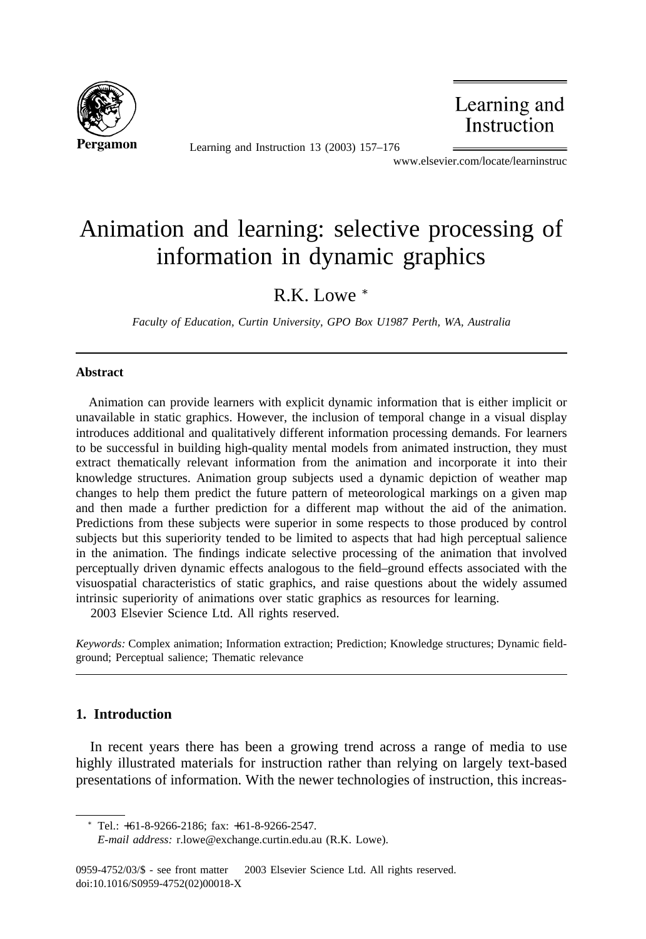

Learning and Instruction 13 (2003) 157–176

Learning and Instruction

www.elsevier.com/locate/learninstruc

# Animation and learning: selective processing of information in dynamic graphics

R.K. Lowe <sup>∗</sup>

*Faculty of Education, Curtin University, GPO Box U1987 Perth, WA, Australia*

#### **Abstract**

Animation can provide learners with explicit dynamic information that is either implicit or unavailable in static graphics. However, the inclusion of temporal change in a visual display introduces additional and qualitatively different information processing demands. For learners to be successful in building high-quality mental models from animated instruction, they must extract thematically relevant information from the animation and incorporate it into their knowledge structures. Animation group subjects used a dynamic depiction of weather map changes to help them predict the future pattern of meteorological markings on a given map and then made a further prediction for a different map without the aid of the animation. Predictions from these subjects were superior in some respects to those produced by control subjects but this superiority tended to be limited to aspects that had high perceptual salience in the animation. The findings indicate selective processing of the animation that involved perceptually driven dynamic effects analogous to the field–ground effects associated with the visuospatial characteristics of static graphics, and raise questions about the widely assumed intrinsic superiority of animations over static graphics as resources for learning. 2003 Elsevier Science Ltd. All rights reserved.

*Keywords:* Complex animation; Information extraction; Prediction; Knowledge structures; Dynamic fieldground; Perceptual salience; Thematic relevance

# **1. Introduction**

In recent years there has been a growing trend across a range of media to use highly illustrated materials for instruction rather than relying on largely text-based presentations of information. With the newer technologies of instruction, this increas-

<sup>∗</sup> Tel.: +61-8-9266-2186; fax: +61-8-9266-2547.

*E-mail address:* r.lowe@exchange.curtin.edu.au (R.K. Lowe).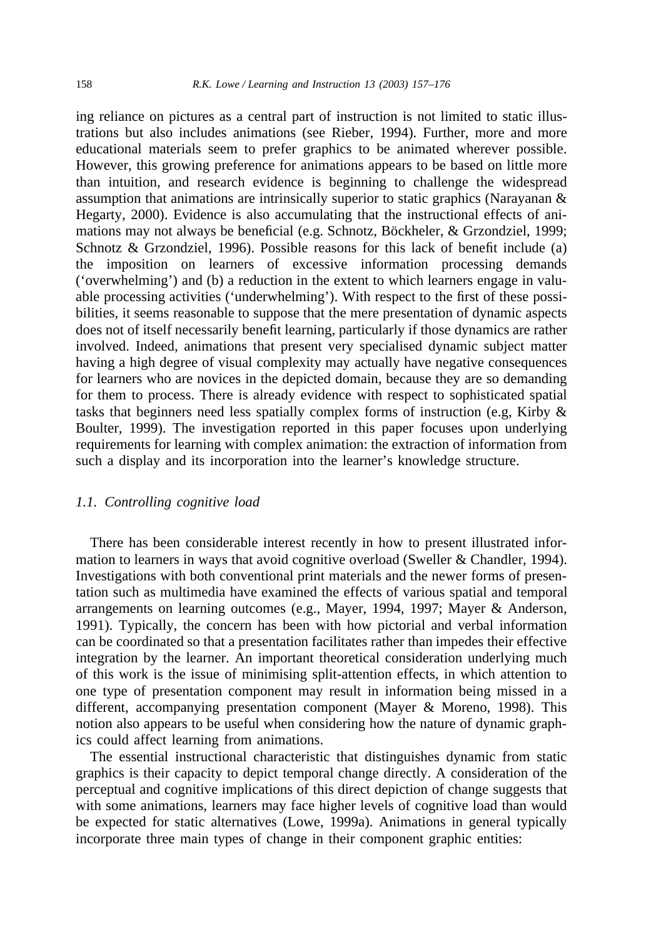ing reliance on pictures as a central part of instruction is not limited to static illustrations but also includes animations (see Rieber, 1994). Further, more and more educational materials seem to prefer graphics to be animated wherever possible. However, this growing preference for animations appears to be based on little more than intuition, and research evidence is beginning to challenge the widespread assumption that animations are intrinsically superior to static graphics (Narayanan & Hegarty, 2000). Evidence is also accumulating that the instructional effects of animations may not always be beneficial (e.g. Schnotz, Böckheler, & Grzondziel, 1999; Schnotz & Grzondziel, 1996). Possible reasons for this lack of benefit include (a) the imposition on learners of excessive information processing demands ('overwhelming') and (b) a reduction in the extent to which learners engage in valuable processing activities ('underwhelming'). With respect to the first of these possibilities, it seems reasonable to suppose that the mere presentation of dynamic aspects does not of itself necessarily benefit learning, particularly if those dynamics are rather involved. Indeed, animations that present very specialised dynamic subject matter having a high degree of visual complexity may actually have negative consequences for learners who are novices in the depicted domain, because they are so demanding for them to process. There is already evidence with respect to sophisticated spatial tasks that beginners need less spatially complex forms of instruction (e.g, Kirby & Boulter, 1999). The investigation reported in this paper focuses upon underlying requirements for learning with complex animation: the extraction of information from such a display and its incorporation into the learner's knowledge structure.

# *1.1. Controlling cognitive load*

There has been considerable interest recently in how to present illustrated information to learners in ways that avoid cognitive overload (Sweller & Chandler, 1994). Investigations with both conventional print materials and the newer forms of presentation such as multimedia have examined the effects of various spatial and temporal arrangements on learning outcomes (e.g., Mayer, 1994, 1997; Mayer & Anderson, 1991). Typically, the concern has been with how pictorial and verbal information can be coordinated so that a presentation facilitates rather than impedes their effective integration by the learner. An important theoretical consideration underlying much of this work is the issue of minimising split-attention effects, in which attention to one type of presentation component may result in information being missed in a different, accompanying presentation component (Mayer & Moreno, 1998). This notion also appears to be useful when considering how the nature of dynamic graphics could affect learning from animations.

The essential instructional characteristic that distinguishes dynamic from static graphics is their capacity to depict temporal change directly. A consideration of the perceptual and cognitive implications of this direct depiction of change suggests that with some animations, learners may face higher levels of cognitive load than would be expected for static alternatives (Lowe, 1999a). Animations in general typically incorporate three main types of change in their component graphic entities: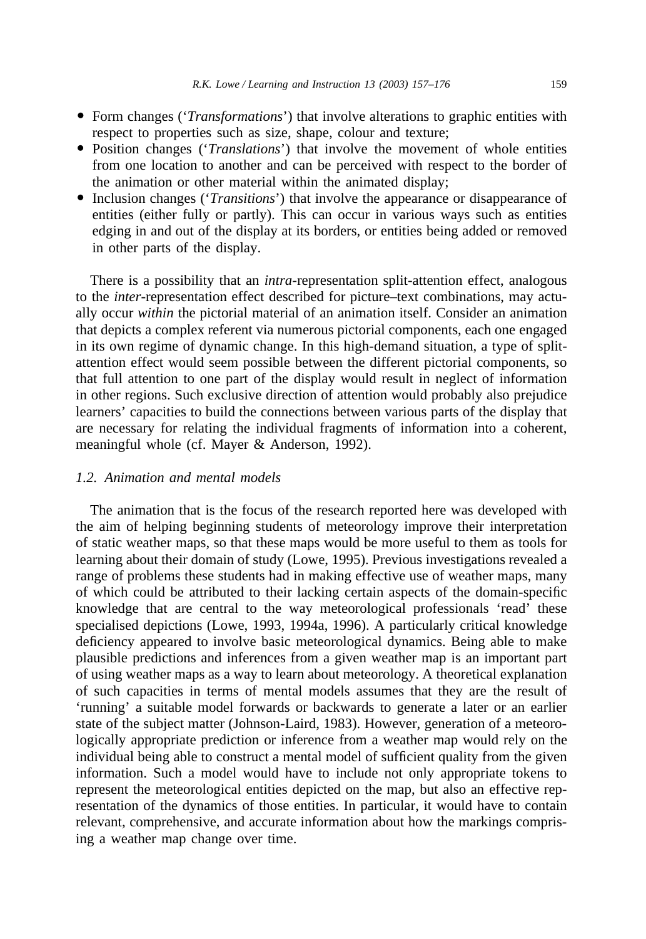- Form changes ('*Transformations*') that involve alterations to graphic entities with respect to properties such as size, shape, colour and texture;
- Position changes ('*Translations*') that involve the movement of whole entities from one location to another and can be perceived with respect to the border of the animation or other material within the animated display;
- Inclusion changes ('*Transitions*') that involve the appearance or disappearance of entities (either fully or partly). This can occur in various ways such as entities edging in and out of the display at its borders, or entities being added or removed in other parts of the display.

There is a possibility that an *intra*-representation split-attention effect, analogous to the *inter*-representation effect described for picture–text combinations, may actually occur *within* the pictorial material of an animation itself. Consider an animation that depicts a complex referent via numerous pictorial components, each one engaged in its own regime of dynamic change. In this high-demand situation, a type of splitattention effect would seem possible between the different pictorial components, so that full attention to one part of the display would result in neglect of information in other regions. Such exclusive direction of attention would probably also prejudice learners' capacities to build the connections between various parts of the display that are necessary for relating the individual fragments of information into a coherent, meaningful whole (cf. Mayer & Anderson, 1992).

## *1.2. Animation and mental models*

The animation that is the focus of the research reported here was developed with the aim of helping beginning students of meteorology improve their interpretation of static weather maps, so that these maps would be more useful to them as tools for learning about their domain of study (Lowe, 1995). Previous investigations revealed a range of problems these students had in making effective use of weather maps, many of which could be attributed to their lacking certain aspects of the domain-specific knowledge that are central to the way meteorological professionals 'read' these specialised depictions (Lowe, 1993, 1994a, 1996). A particularly critical knowledge deficiency appeared to involve basic meteorological dynamics. Being able to make plausible predictions and inferences from a given weather map is an important part of using weather maps as a way to learn about meteorology. A theoretical explanation of such capacities in terms of mental models assumes that they are the result of 'running' a suitable model forwards or backwards to generate a later or an earlier state of the subject matter (Johnson-Laird, 1983). However, generation of a meteorologically appropriate prediction or inference from a weather map would rely on the individual being able to construct a mental model of sufficient quality from the given information. Such a model would have to include not only appropriate tokens to represent the meteorological entities depicted on the map, but also an effective representation of the dynamics of those entities. In particular, it would have to contain relevant, comprehensive, and accurate information about how the markings comprising a weather map change over time.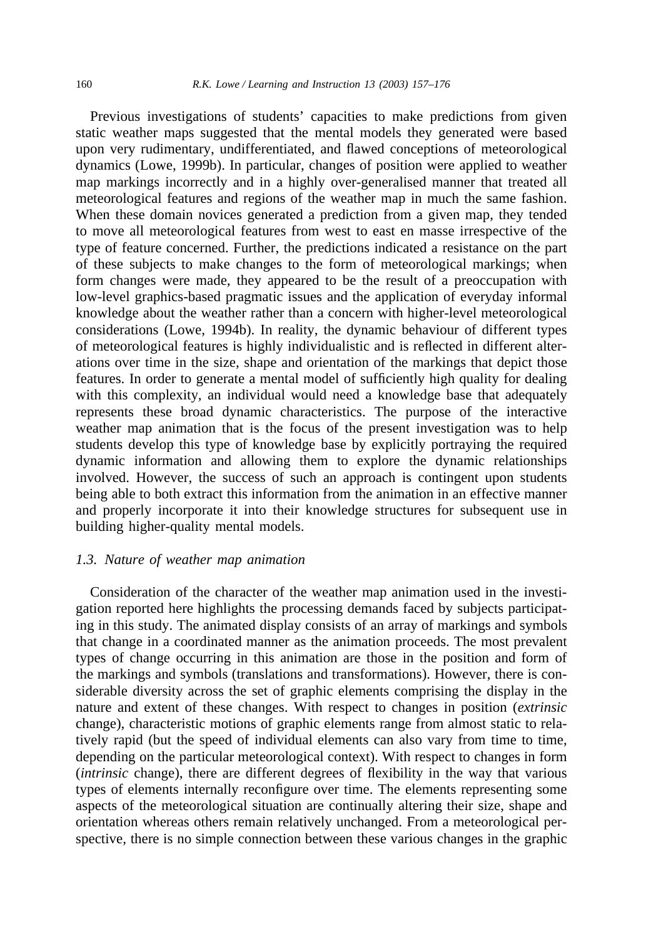Previous investigations of students' capacities to make predictions from given static weather maps suggested that the mental models they generated were based upon very rudimentary, undifferentiated, and flawed conceptions of meteorological dynamics (Lowe, 1999b). In particular, changes of position were applied to weather map markings incorrectly and in a highly over-generalised manner that treated all meteorological features and regions of the weather map in much the same fashion. When these domain novices generated a prediction from a given map, they tended to move all meteorological features from west to east en masse irrespective of the type of feature concerned. Further, the predictions indicated a resistance on the part of these subjects to make changes to the form of meteorological markings; when form changes were made, they appeared to be the result of a preoccupation with low-level graphics-based pragmatic issues and the application of everyday informal knowledge about the weather rather than a concern with higher-level meteorological considerations (Lowe, 1994b). In reality, the dynamic behaviour of different types of meteorological features is highly individualistic and is reflected in different alterations over time in the size, shape and orientation of the markings that depict those features. In order to generate a mental model of sufficiently high quality for dealing with this complexity, an individual would need a knowledge base that adequately represents these broad dynamic characteristics. The purpose of the interactive weather map animation that is the focus of the present investigation was to help students develop this type of knowledge base by explicitly portraying the required dynamic information and allowing them to explore the dynamic relationships involved. However, the success of such an approach is contingent upon students being able to both extract this information from the animation in an effective manner and properly incorporate it into their knowledge structures for subsequent use in building higher-quality mental models.

## *1.3. Nature of weather map animation*

Consideration of the character of the weather map animation used in the investigation reported here highlights the processing demands faced by subjects participating in this study. The animated display consists of an array of markings and symbols that change in a coordinated manner as the animation proceeds. The most prevalent types of change occurring in this animation are those in the position and form of the markings and symbols (translations and transformations). However, there is considerable diversity across the set of graphic elements comprising the display in the nature and extent of these changes. With respect to changes in position (*extrinsic* change), characteristic motions of graphic elements range from almost static to relatively rapid (but the speed of individual elements can also vary from time to time, depending on the particular meteorological context). With respect to changes in form (*intrinsic* change), there are different degrees of flexibility in the way that various types of elements internally reconfigure over time. The elements representing some aspects of the meteorological situation are continually altering their size, shape and orientation whereas others remain relatively unchanged. From a meteorological perspective, there is no simple connection between these various changes in the graphic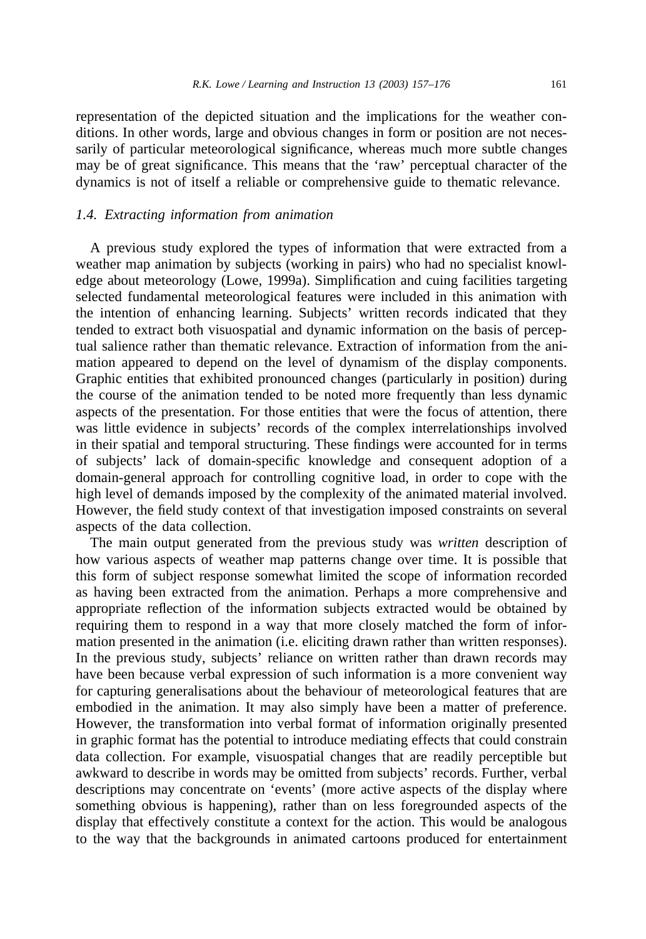representation of the depicted situation and the implications for the weather conditions. In other words, large and obvious changes in form or position are not necessarily of particular meteorological significance, whereas much more subtle changes may be of great significance. This means that the 'raw' perceptual character of the dynamics is not of itself a reliable or comprehensive guide to thematic relevance.

# *1.4. Extracting information from animation*

A previous study explored the types of information that were extracted from a weather map animation by subjects (working in pairs) who had no specialist knowledge about meteorology (Lowe, 1999a). Simplification and cuing facilities targeting selected fundamental meteorological features were included in this animation with the intention of enhancing learning. Subjects' written records indicated that they tended to extract both visuospatial and dynamic information on the basis of perceptual salience rather than thematic relevance. Extraction of information from the animation appeared to depend on the level of dynamism of the display components. Graphic entities that exhibited pronounced changes (particularly in position) during the course of the animation tended to be noted more frequently than less dynamic aspects of the presentation. For those entities that were the focus of attention, there was little evidence in subjects' records of the complex interrelationships involved in their spatial and temporal structuring. These findings were accounted for in terms of subjects' lack of domain-specific knowledge and consequent adoption of a domain-general approach for controlling cognitive load, in order to cope with the high level of demands imposed by the complexity of the animated material involved. However, the field study context of that investigation imposed constraints on several aspects of the data collection.

The main output generated from the previous study was *written* description of how various aspects of weather map patterns change over time. It is possible that this form of subject response somewhat limited the scope of information recorded as having been extracted from the animation. Perhaps a more comprehensive and appropriate reflection of the information subjects extracted would be obtained by requiring them to respond in a way that more closely matched the form of information presented in the animation (i.e. eliciting drawn rather than written responses). In the previous study, subjects' reliance on written rather than drawn records may have been because verbal expression of such information is a more convenient way for capturing generalisations about the behaviour of meteorological features that are embodied in the animation. It may also simply have been a matter of preference. However, the transformation into verbal format of information originally presented in graphic format has the potential to introduce mediating effects that could constrain data collection. For example, visuospatial changes that are readily perceptible but awkward to describe in words may be omitted from subjects' records. Further, verbal descriptions may concentrate on 'events' (more active aspects of the display where something obvious is happening), rather than on less foregrounded aspects of the display that effectively constitute a context for the action. This would be analogous to the way that the backgrounds in animated cartoons produced for entertainment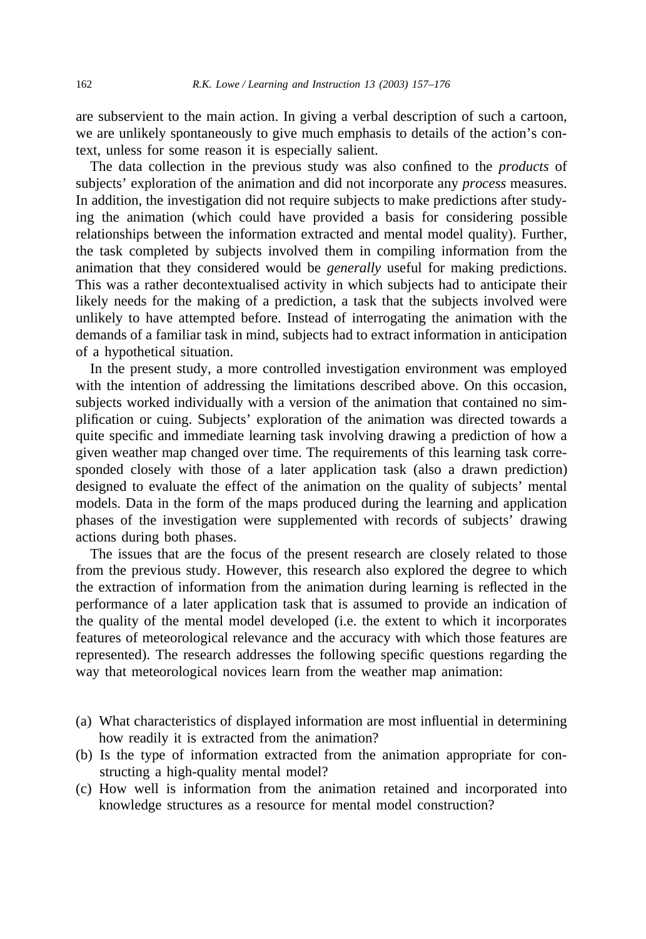are subservient to the main action. In giving a verbal description of such a cartoon, we are unlikely spontaneously to give much emphasis to details of the action's context, unless for some reason it is especially salient.

The data collection in the previous study was also confined to the *products* of subjects' exploration of the animation and did not incorporate any *process* measures. In addition, the investigation did not require subjects to make predictions after studying the animation (which could have provided a basis for considering possible relationships between the information extracted and mental model quality). Further, the task completed by subjects involved them in compiling information from the animation that they considered would be *generally* useful for making predictions. This was a rather decontextualised activity in which subjects had to anticipate their likely needs for the making of a prediction, a task that the subjects involved were unlikely to have attempted before. Instead of interrogating the animation with the demands of a familiar task in mind, subjects had to extract information in anticipation of a hypothetical situation.

In the present study, a more controlled investigation environment was employed with the intention of addressing the limitations described above. On this occasion, subjects worked individually with a version of the animation that contained no simplification or cuing. Subjects' exploration of the animation was directed towards a quite specific and immediate learning task involving drawing a prediction of how a given weather map changed over time. The requirements of this learning task corresponded closely with those of a later application task (also a drawn prediction) designed to evaluate the effect of the animation on the quality of subjects' mental models. Data in the form of the maps produced during the learning and application phases of the investigation were supplemented with records of subjects' drawing actions during both phases.

The issues that are the focus of the present research are closely related to those from the previous study. However, this research also explored the degree to which the extraction of information from the animation during learning is reflected in the performance of a later application task that is assumed to provide an indication of the quality of the mental model developed (i.e. the extent to which it incorporates features of meteorological relevance and the accuracy with which those features are represented). The research addresses the following specific questions regarding the way that meteorological novices learn from the weather map animation:

- (a) What characteristics of displayed information are most influential in determining how readily it is extracted from the animation?
- (b) Is the type of information extracted from the animation appropriate for constructing a high-quality mental model?
- (c) How well is information from the animation retained and incorporated into knowledge structures as a resource for mental model construction?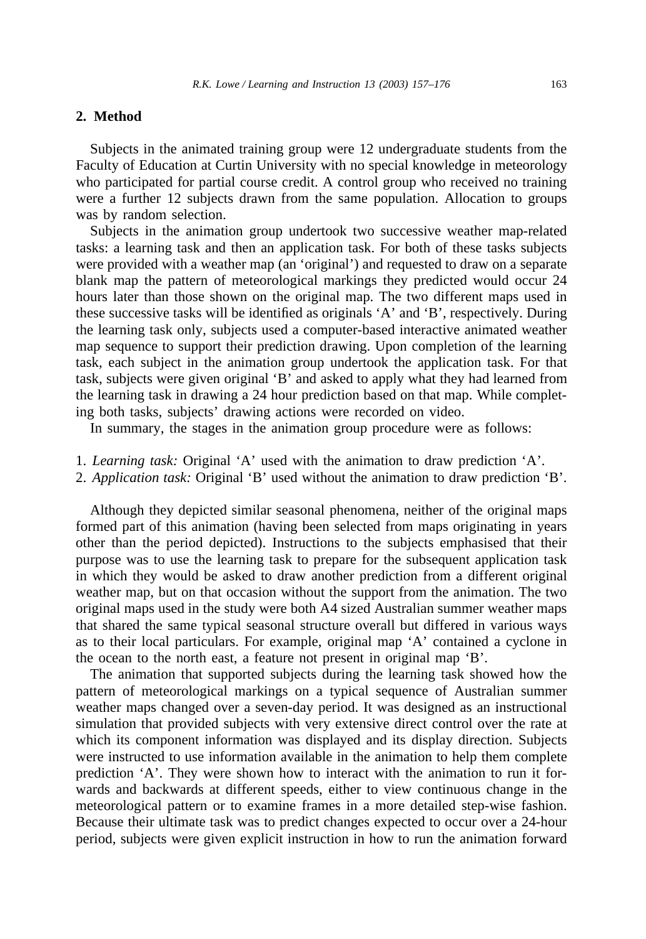## **2. Method**

Subjects in the animated training group were 12 undergraduate students from the Faculty of Education at Curtin University with no special knowledge in meteorology who participated for partial course credit. A control group who received no training were a further 12 subjects drawn from the same population. Allocation to groups was by random selection.

Subjects in the animation group undertook two successive weather map-related tasks: a learning task and then an application task. For both of these tasks subjects were provided with a weather map (an 'original') and requested to draw on a separate blank map the pattern of meteorological markings they predicted would occur 24 hours later than those shown on the original map. The two different maps used in these successive tasks will be identified as originals 'A' and 'B', respectively. During the learning task only, subjects used a computer-based interactive animated weather map sequence to support their prediction drawing. Upon completion of the learning task, each subject in the animation group undertook the application task. For that task, subjects were given original 'B' and asked to apply what they had learned from the learning task in drawing a 24 hour prediction based on that map. While completing both tasks, subjects' drawing actions were recorded on video.

In summary, the stages in the animation group procedure were as follows:

- 1. *Learning task:* Original 'A' used with the animation to draw prediction 'A'.
- 2. *Application task:* Original 'B' used without the animation to draw prediction 'B'.

Although they depicted similar seasonal phenomena, neither of the original maps formed part of this animation (having been selected from maps originating in years other than the period depicted). Instructions to the subjects emphasised that their purpose was to use the learning task to prepare for the subsequent application task in which they would be asked to draw another prediction from a different original weather map, but on that occasion without the support from the animation. The two original maps used in the study were both A4 sized Australian summer weather maps that shared the same typical seasonal structure overall but differed in various ways as to their local particulars. For example, original map 'A' contained a cyclone in the ocean to the north east, a feature not present in original map 'B'.

The animation that supported subjects during the learning task showed how the pattern of meteorological markings on a typical sequence of Australian summer weather maps changed over a seven-day period. It was designed as an instructional simulation that provided subjects with very extensive direct control over the rate at which its component information was displayed and its display direction. Subjects were instructed to use information available in the animation to help them complete prediction 'A'. They were shown how to interact with the animation to run it forwards and backwards at different speeds, either to view continuous change in the meteorological pattern or to examine frames in a more detailed step-wise fashion. Because their ultimate task was to predict changes expected to occur over a 24-hour period, subjects were given explicit instruction in how to run the animation forward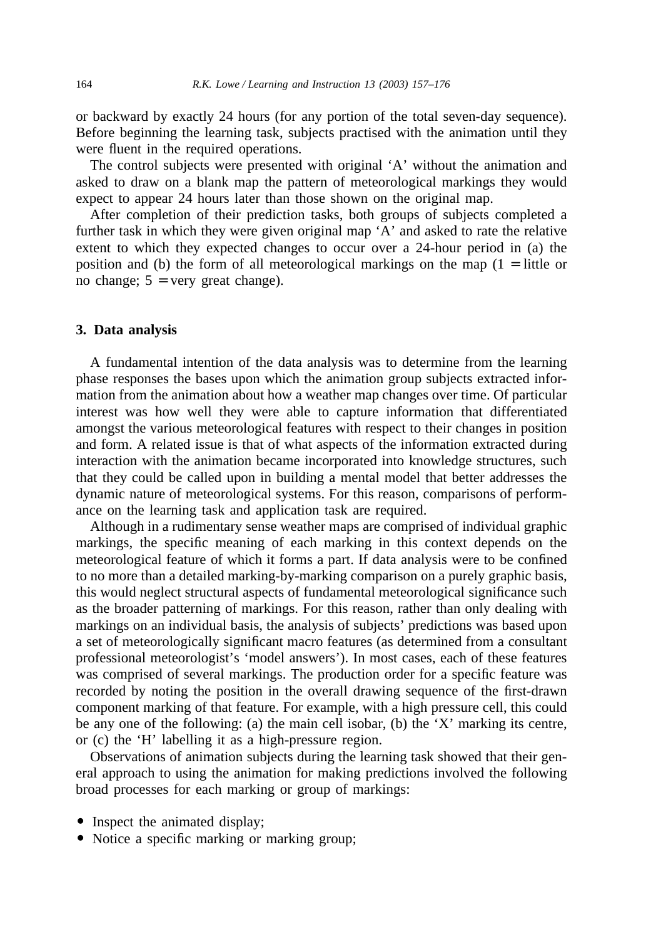or backward by exactly 24 hours (for any portion of the total seven-day sequence). Before beginning the learning task, subjects practised with the animation until they were fluent in the required operations.

The control subjects were presented with original 'A' without the animation and asked to draw on a blank map the pattern of meteorological markings they would expect to appear 24 hours later than those shown on the original map.

After completion of their prediction tasks, both groups of subjects completed a further task in which they were given original map 'A' and asked to rate the relative extent to which they expected changes to occur over a 24-hour period in (a) the position and (b) the form of all meteorological markings on the map  $(1 =$  little or no change;  $5 = \text{very great change}$ ).

### **3. Data analysis**

A fundamental intention of the data analysis was to determine from the learning phase responses the bases upon which the animation group subjects extracted information from the animation about how a weather map changes over time. Of particular interest was how well they were able to capture information that differentiated amongst the various meteorological features with respect to their changes in position and form. A related issue is that of what aspects of the information extracted during interaction with the animation became incorporated into knowledge structures, such that they could be called upon in building a mental model that better addresses the dynamic nature of meteorological systems. For this reason, comparisons of performance on the learning task and application task are required.

Although in a rudimentary sense weather maps are comprised of individual graphic markings, the specific meaning of each marking in this context depends on the meteorological feature of which it forms a part. If data analysis were to be confined to no more than a detailed marking-by-marking comparison on a purely graphic basis, this would neglect structural aspects of fundamental meteorological significance such as the broader patterning of markings. For this reason, rather than only dealing with markings on an individual basis, the analysis of subjects' predictions was based upon a set of meteorologically significant macro features (as determined from a consultant professional meteorologist's 'model answers'). In most cases, each of these features was comprised of several markings. The production order for a specific feature was recorded by noting the position in the overall drawing sequence of the first-drawn component marking of that feature. For example, with a high pressure cell, this could be any one of the following: (a) the main cell isobar, (b) the 'X' marking its centre, or (c) the 'H' labelling it as a high-pressure region.

Observations of animation subjects during the learning task showed that their general approach to using the animation for making predictions involved the following broad processes for each marking or group of markings:

- Inspect the animated display;
- Notice a specific marking or marking group;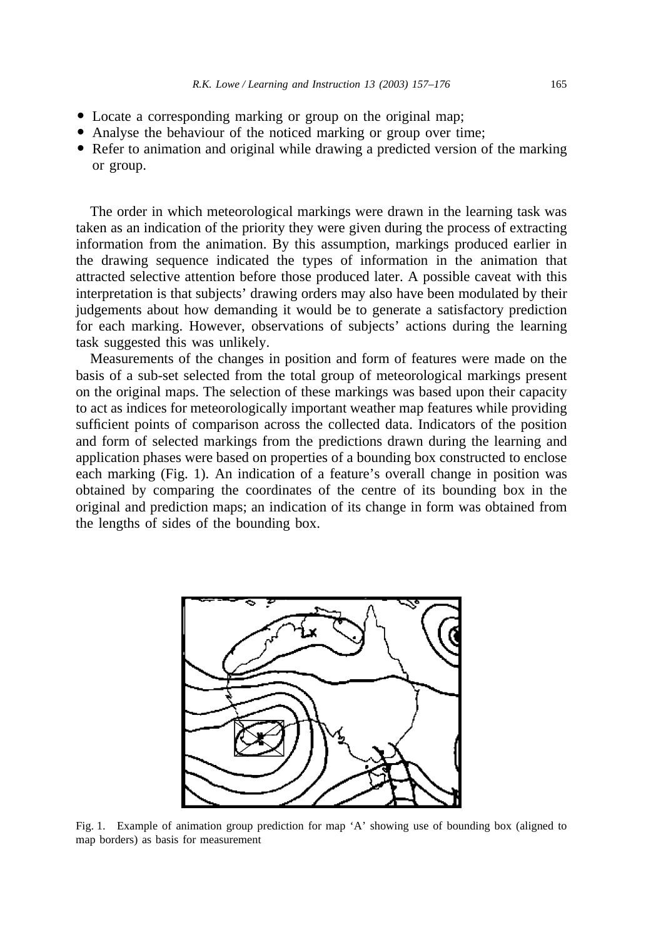- Locate a corresponding marking or group on the original map;
- Analyse the behaviour of the noticed marking or group over time;
- Refer to animation and original while drawing a predicted version of the marking or group.

The order in which meteorological markings were drawn in the learning task was taken as an indication of the priority they were given during the process of extracting information from the animation. By this assumption, markings produced earlier in the drawing sequence indicated the types of information in the animation that attracted selective attention before those produced later. A possible caveat with this interpretation is that subjects' drawing orders may also have been modulated by their judgements about how demanding it would be to generate a satisfactory prediction for each marking. However, observations of subjects' actions during the learning task suggested this was unlikely.

Measurements of the changes in position and form of features were made on the basis of a sub-set selected from the total group of meteorological markings present on the original maps. The selection of these markings was based upon their capacity to act as indices for meteorologically important weather map features while providing sufficient points of comparison across the collected data. Indicators of the position and form of selected markings from the predictions drawn during the learning and application phases were based on properties of a bounding box constructed to enclose each marking (Fig. 1). An indication of a feature's overall change in position was obtained by comparing the coordinates of the centre of its bounding box in the original and prediction maps; an indication of its change in form was obtained from the lengths of sides of the bounding box.



Fig. 1. Example of animation group prediction for map 'A' showing use of bounding box (aligned to map borders) as basis for measurement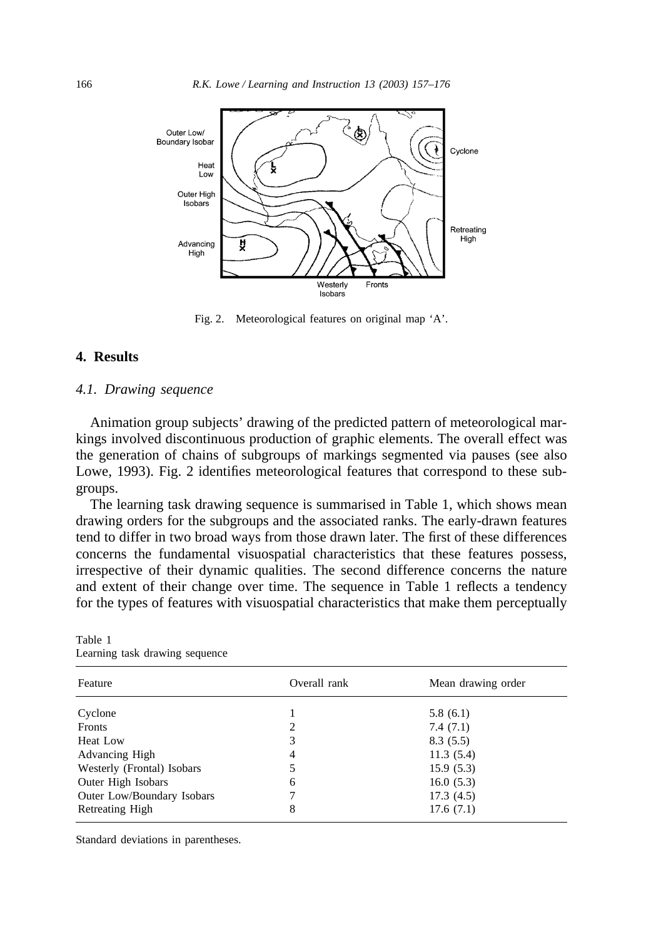

Fig. 2. Meteorological features on original map 'A'.

## **4. Results**

#### *4.1. Drawing sequence*

Animation group subjects' drawing of the predicted pattern of meteorological markings involved discontinuous production of graphic elements. The overall effect was the generation of chains of subgroups of markings segmented via pauses (see also Lowe, 1993). Fig. 2 identifies meteorological features that correspond to these subgroups.

The learning task drawing sequence is summarised in Table 1, which shows mean drawing orders for the subgroups and the associated ranks. The early-drawn features tend to differ in two broad ways from those drawn later. The first of these differences concerns the fundamental visuospatial characteristics that these features possess, irrespective of their dynamic qualities. The second difference concerns the nature and extent of their change over time. The sequence in Table 1 reflects a tendency for the types of features with visuospatial characteristics that make them perceptually

| Mean drawing order |  |
|--------------------|--|
| 5.8(6.1)           |  |
| 7.4(7.1)           |  |
| 8.3(5.5)           |  |
| 11.3(5.4)          |  |
| 15.9(5.3)          |  |
| 16.0(5.3)          |  |
| 17.3(4.5)          |  |
| 17.6(7.1)          |  |
|                    |  |

Table 1 Learning task drawing sequence

Standard deviations in parentheses.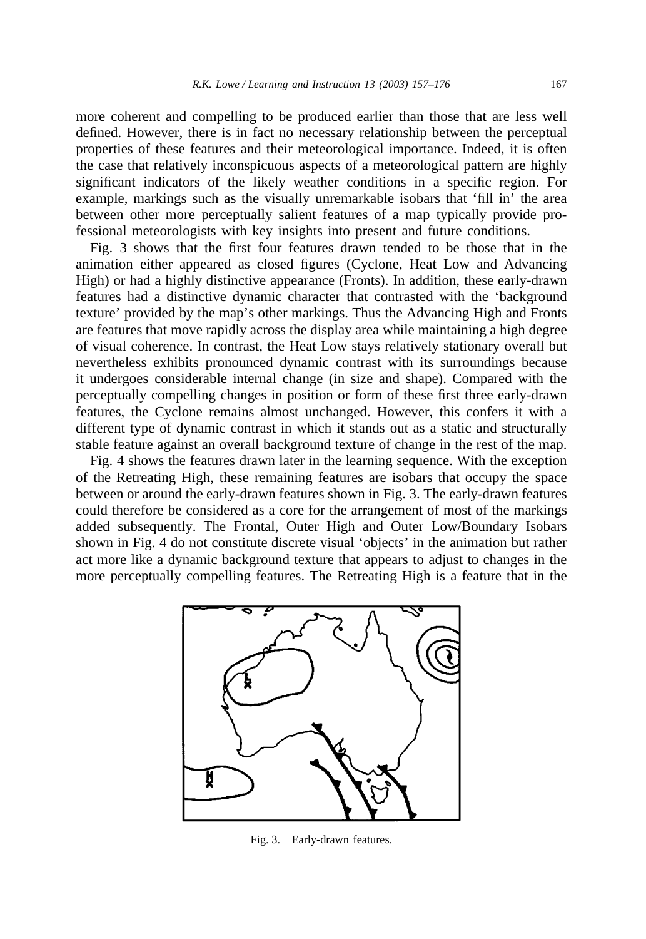more coherent and compelling to be produced earlier than those that are less well defined. However, there is in fact no necessary relationship between the perceptual properties of these features and their meteorological importance. Indeed, it is often the case that relatively inconspicuous aspects of a meteorological pattern are highly significant indicators of the likely weather conditions in a specific region. For example, markings such as the visually unremarkable isobars that 'fill in' the area between other more perceptually salient features of a map typically provide professional meteorologists with key insights into present and future conditions.

Fig. 3 shows that the first four features drawn tended to be those that in the animation either appeared as closed figures (Cyclone, Heat Low and Advancing High) or had a highly distinctive appearance (Fronts). In addition, these early-drawn features had a distinctive dynamic character that contrasted with the 'background texture' provided by the map's other markings. Thus the Advancing High and Fronts are features that move rapidly across the display area while maintaining a high degree of visual coherence. In contrast, the Heat Low stays relatively stationary overall but nevertheless exhibits pronounced dynamic contrast with its surroundings because it undergoes considerable internal change (in size and shape). Compared with the perceptually compelling changes in position or form of these first three early-drawn features, the Cyclone remains almost unchanged. However, this confers it with a different type of dynamic contrast in which it stands out as a static and structurally stable feature against an overall background texture of change in the rest of the map.

Fig. 4 shows the features drawn later in the learning sequence. With the exception of the Retreating High, these remaining features are isobars that occupy the space between or around the early-drawn features shown in Fig. 3. The early-drawn features could therefore be considered as a core for the arrangement of most of the markings added subsequently. The Frontal, Outer High and Outer Low/Boundary Isobars shown in Fig. 4 do not constitute discrete visual 'objects' in the animation but rather act more like a dynamic background texture that appears to adjust to changes in the more perceptually compelling features. The Retreating High is a feature that in the



Fig. 3. Early-drawn features.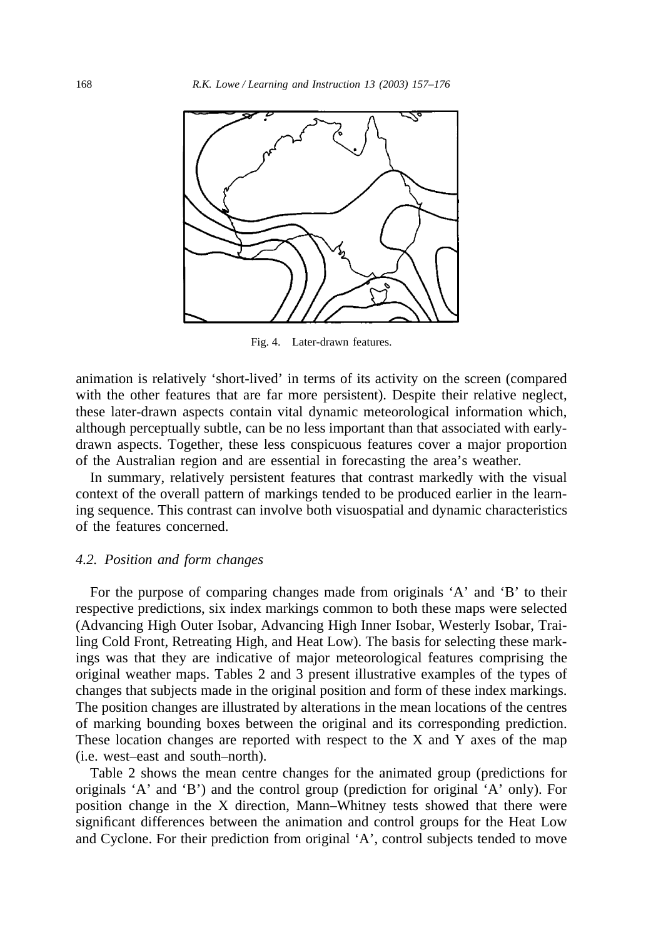

Fig. 4. Later-drawn features.

animation is relatively 'short-lived' in terms of its activity on the screen (compared with the other features that are far more persistent). Despite their relative neglect, these later-drawn aspects contain vital dynamic meteorological information which, although perceptually subtle, can be no less important than that associated with earlydrawn aspects. Together, these less conspicuous features cover a major proportion of the Australian region and are essential in forecasting the area's weather.

In summary, relatively persistent features that contrast markedly with the visual context of the overall pattern of markings tended to be produced earlier in the learning sequence. This contrast can involve both visuospatial and dynamic characteristics of the features concerned.

## *4.2. Position and form changes*

For the purpose of comparing changes made from originals 'A' and 'B' to their respective predictions, six index markings common to both these maps were selected (Advancing High Outer Isobar, Advancing High Inner Isobar, Westerly Isobar, Trailing Cold Front, Retreating High, and Heat Low). The basis for selecting these markings was that they are indicative of major meteorological features comprising the original weather maps. Tables 2 and 3 present illustrative examples of the types of changes that subjects made in the original position and form of these index markings. The position changes are illustrated by alterations in the mean locations of the centres of marking bounding boxes between the original and its corresponding prediction. These location changes are reported with respect to the X and Y axes of the map (i.e. west–east and south–north).

Table 2 shows the mean centre changes for the animated group (predictions for originals 'A' and 'B') and the control group (prediction for original 'A' only). For position change in the X direction, Mann–Whitney tests showed that there were significant differences between the animation and control groups for the Heat Low and Cyclone. For their prediction from original 'A', control subjects tended to move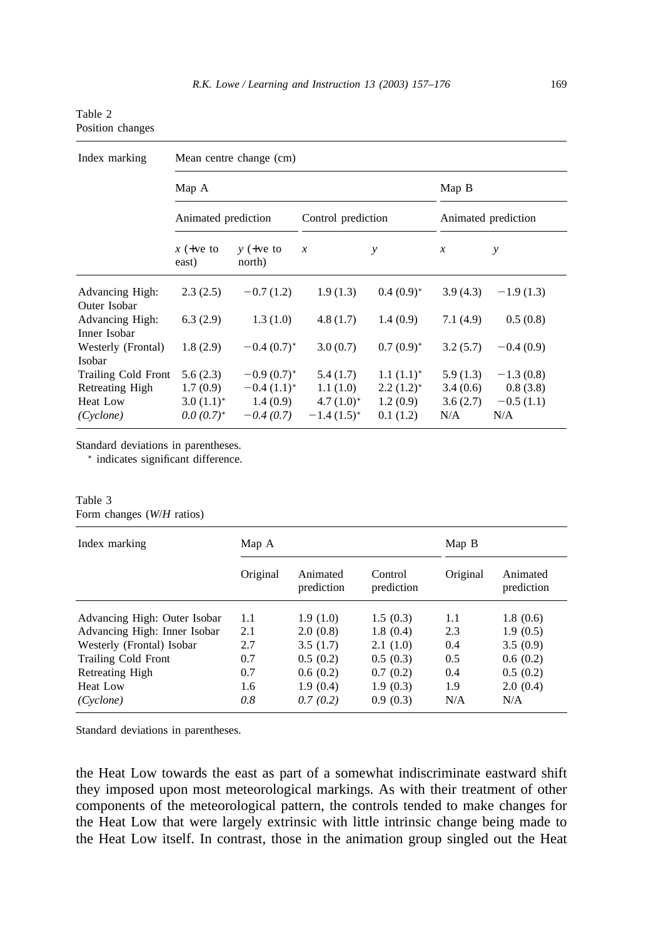| Table 2          |  |
|------------------|--|
| Position changes |  |

| Index marking                   |                      | Mean centre change (cm) |                    |                |                     |             |
|---------------------------------|----------------------|-------------------------|--------------------|----------------|---------------------|-------------|
|                                 | Map A                |                         |                    |                | Map B               |             |
|                                 | Animated prediction  |                         | Control prediction |                | Animated prediction |             |
|                                 | $x$ (+ve to<br>east) | $y$ (+ve to<br>north)   | $\mathcal{X}$      | y              | x                   | у           |
| Advancing High:<br>Outer Isobar | 2.3(2.5)             | $-0.7(1.2)$             | 1.9(1.3)           | $0.4(0.9)^{*}$ | 3.9(4.3)            | $-1.9(1.3)$ |
| Advancing High:<br>Inner Isobar | 6.3(2.9)             | 1.3(1.0)                | 4.8(1.7)           | 1.4(0.9)       | 7.1(4.9)            | 0.5(0.8)    |
| Westerly (Frontal)<br>Isobar    | 1.8(2.9)             | $-0.4(0.7)^{*}$         | 3.0(0.7)           | $0.7(0.9)^*$   | 3.2(5.7)            | $-0.4(0.9)$ |
| Trailing Cold Front             | 5.6(2.3)             | $-0.9(0.7)^{*}$         | 5.4(1.7)           | $1.1(1.1)^*$   | 5.9(1.3)            | $-1.3(0.8)$ |
| Retreating High                 | 1.7(0.9)             | $-0.4(1.1)^{*}$         | 1.1(1.0)           | $2.2(1.2)^{*}$ | 3.4(0.6)            | 0.8(3.8)    |
| <b>Heat Low</b>                 | $3.0(1.1)^*$         | 1.4(0.9)                | $4.7(1.0)^*$       | 1.2(0.9)       | 3.6(2.7)            | $-0.5(1.1)$ |
| (Cyclone)                       | $0.0(0.7)^{*}$       | $-0.4(0.7)$             | $-1.4(1.5)^{*}$    | 0.1(1.2)       | N/A                 | N/A         |

Standard deviations in parentheses.

<sup>∗</sup> indicates significant difference.

| Table 3 |                             |  |
|---------|-----------------------------|--|
|         | Form changes $(W/H$ ratios) |  |

| Index marking                | Map A    |                        |                       | Map B    |                        |
|------------------------------|----------|------------------------|-----------------------|----------|------------------------|
|                              | Original | Animated<br>prediction | Control<br>prediction | Original | Animated<br>prediction |
| Advancing High: Outer Isobar | 1.1      | 1.9(1.0)               | 1.5(0.3)              | 1.1      | 1.8(0.6)               |
| Advancing High: Inner Isobar | 2.1      | 2.0(0.8)               | 1.8(0.4)              | 2.3      | 1.9(0.5)               |
| Westerly (Frontal) Isobar    | 2.7      | 3.5(1.7)               | 2.1(1.0)              | 0.4      | 3.5(0.9)               |
| Trailing Cold Front          | 0.7      | 0.5(0.2)               | 0.5(0.3)              | 0.5      | 0.6(0.2)               |
| Retreating High              | 0.7      | 0.6(0.2)               | 0.7(0.2)              | 0.4      | 0.5(0.2)               |
| Heat Low                     | 1.6      | 1.9(0.4)               | 1.9(0.3)              | 1.9      | 2.0(0.4)               |
| (Cyclone)                    | 0.8      | 0.7(0.2)               | 0.9(0.3)              | N/A      | N/A                    |

Standard deviations in parentheses.

the Heat Low towards the east as part of a somewhat indiscriminate eastward shift they imposed upon most meteorological markings. As with their treatment of other components of the meteorological pattern, the controls tended to make changes for the Heat Low that were largely extrinsic with little intrinsic change being made to the Heat Low itself. In contrast, those in the animation group singled out the Heat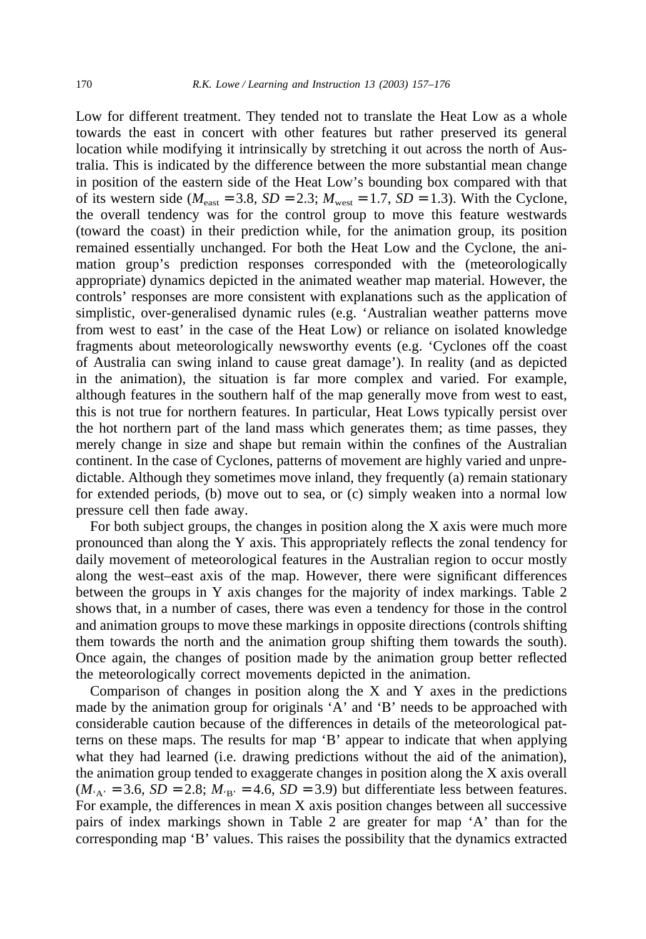Low for different treatment. They tended not to translate the Heat Low as a whole towards the east in concert with other features but rather preserved its general location while modifying it intrinsically by stretching it out across the north of Australia. This is indicated by the difference between the more substantial mean change in position of the eastern side of the Heat Low's bounding box compared with that of its western side ( $M_{\text{east}} = 3.8$ ,  $SD = 2.3$ ;  $M_{\text{west}} = 1.7$ ,  $SD = 1.3$ ). With the Cyclone, the overall tendency was for the control group to move this feature westwards (toward the coast) in their prediction while, for the animation group, its position remained essentially unchanged. For both the Heat Low and the Cyclone, the animation group's prediction responses corresponded with the (meteorologically appropriate) dynamics depicted in the animated weather map material. However, the controls' responses are more consistent with explanations such as the application of simplistic, over-generalised dynamic rules (e.g. 'Australian weather patterns move from west to east' in the case of the Heat Low) or reliance on isolated knowledge fragments about meteorologically newsworthy events (e.g. 'Cyclones off the coast of Australia can swing inland to cause great damage'). In reality (and as depicted in the animation), the situation is far more complex and varied. For example, although features in the southern half of the map generally move from west to east, this is not true for northern features. In particular, Heat Lows typically persist over the hot northern part of the land mass which generates them; as time passes, they merely change in size and shape but remain within the confines of the Australian continent. In the case of Cyclones, patterns of movement are highly varied and unpredictable. Although they sometimes move inland, they frequently (a) remain stationary for extended periods, (b) move out to sea, or (c) simply weaken into a normal low pressure cell then fade away.

For both subject groups, the changes in position along the X axis were much more pronounced than along the Y axis. This appropriately reflects the zonal tendency for daily movement of meteorological features in the Australian region to occur mostly along the west–east axis of the map. However, there were significant differences between the groups in Y axis changes for the majority of index markings. Table 2 shows that, in a number of cases, there was even a tendency for those in the control and animation groups to move these markings in opposite directions (controls shifting them towards the north and the animation group shifting them towards the south). Once again, the changes of position made by the animation group better reflected the meteorologically correct movements depicted in the animation.

Comparison of changes in position along the  $X$  and  $Y$  axes in the predictions made by the animation group for originals 'A' and 'B' needs to be approached with considerable caution because of the differences in details of the meteorological patterns on these maps. The results for map 'B' appear to indicate that when applying what they had learned (i.e. drawing predictions without the aid of the animation), the animation group tended to exaggerate changes in position along the X axis overall  $(M_{A} = 3.6, SD = 2.8; M_{B} = 4.6, SD = 3.9)$  but differentiate less between features. For example, the differences in mean X axis position changes between all successive pairs of index markings shown in Table 2 are greater for map 'A' than for the corresponding map 'B' values. This raises the possibility that the dynamics extracted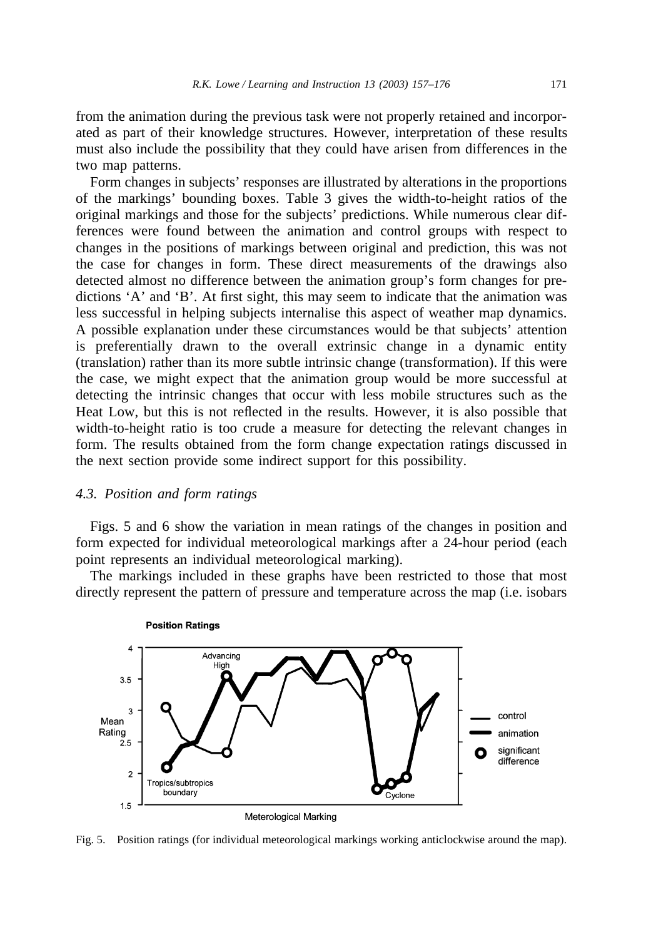from the animation during the previous task were not properly retained and incorporated as part of their knowledge structures. However, interpretation of these results must also include the possibility that they could have arisen from differences in the two map patterns.

Form changes in subjects' responses are illustrated by alterations in the proportions of the markings' bounding boxes. Table 3 gives the width-to-height ratios of the original markings and those for the subjects' predictions. While numerous clear differences were found between the animation and control groups with respect to changes in the positions of markings between original and prediction, this was not the case for changes in form. These direct measurements of the drawings also detected almost no difference between the animation group's form changes for predictions 'A' and 'B'. At first sight, this may seem to indicate that the animation was less successful in helping subjects internalise this aspect of weather map dynamics. A possible explanation under these circumstances would be that subjects' attention is preferentially drawn to the overall extrinsic change in a dynamic entity (translation) rather than its more subtle intrinsic change (transformation). If this were the case, we might expect that the animation group would be more successful at detecting the intrinsic changes that occur with less mobile structures such as the Heat Low, but this is not reflected in the results. However, it is also possible that width-to-height ratio is too crude a measure for detecting the relevant changes in form. The results obtained from the form change expectation ratings discussed in the next section provide some indirect support for this possibility.

### *4.3. Position and form ratings*

Figs. 5 and 6 show the variation in mean ratings of the changes in position and form expected for individual meteorological markings after a 24-hour period (each point represents an individual meteorological marking).

The markings included in these graphs have been restricted to those that most directly represent the pattern of pressure and temperature across the map (i.e. isobars



Fig. 5. Position ratings (for individual meteorological markings working anticlockwise around the map).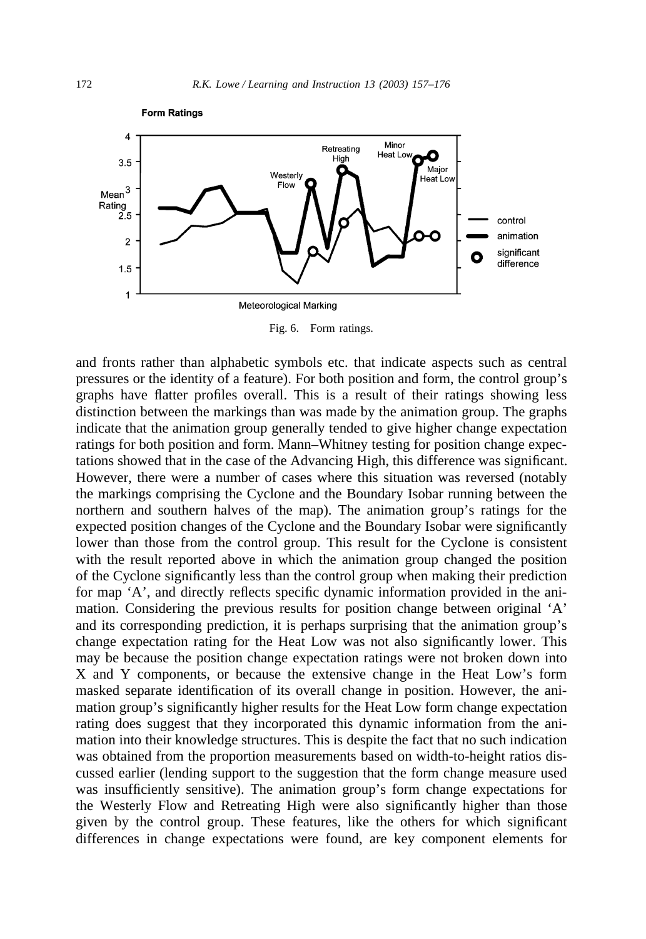

and fronts rather than alphabetic symbols etc. that indicate aspects such as central pressures or the identity of a feature). For both position and form, the control group's graphs have flatter profiles overall. This is a result of their ratings showing less distinction between the markings than was made by the animation group. The graphs indicate that the animation group generally tended to give higher change expectation ratings for both position and form. Mann–Whitney testing for position change expectations showed that in the case of the Advancing High, this difference was significant. However, there were a number of cases where this situation was reversed (notably the markings comprising the Cyclone and the Boundary Isobar running between the northern and southern halves of the map). The animation group's ratings for the expected position changes of the Cyclone and the Boundary Isobar were significantly lower than those from the control group. This result for the Cyclone is consistent with the result reported above in which the animation group changed the position of the Cyclone significantly less than the control group when making their prediction for map 'A', and directly reflects specific dynamic information provided in the animation. Considering the previous results for position change between original 'A' and its corresponding prediction, it is perhaps surprising that the animation group's change expectation rating for the Heat Low was not also significantly lower. This may be because the position change expectation ratings were not broken down into X and Y components, or because the extensive change in the Heat Low's form masked separate identification of its overall change in position. However, the animation group's significantly higher results for the Heat Low form change expectation rating does suggest that they incorporated this dynamic information from the animation into their knowledge structures. This is despite the fact that no such indication was obtained from the proportion measurements based on width-to-height ratios discussed earlier (lending support to the suggestion that the form change measure used was insufficiently sensitive). The animation group's form change expectations for the Westerly Flow and Retreating High were also significantly higher than those given by the control group. These features, like the others for which significant differences in change expectations were found, are key component elements for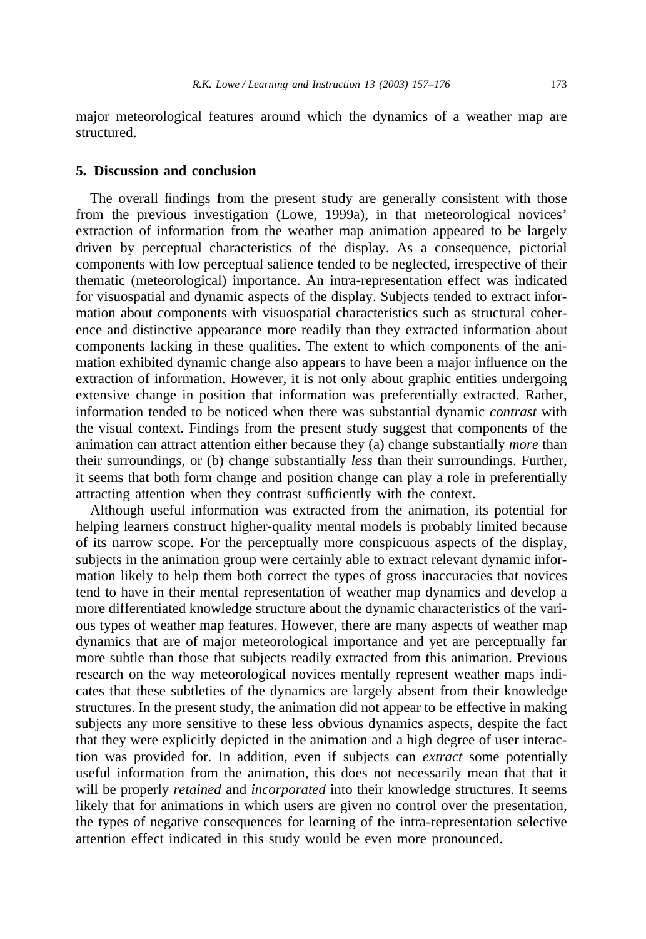major meteorological features around which the dynamics of a weather map are structured.

#### **5. Discussion and conclusion**

The overall findings from the present study are generally consistent with those from the previous investigation (Lowe, 1999a), in that meteorological novices' extraction of information from the weather map animation appeared to be largely driven by perceptual characteristics of the display. As a consequence, pictorial components with low perceptual salience tended to be neglected, irrespective of their thematic (meteorological) importance. An intra-representation effect was indicated for visuospatial and dynamic aspects of the display. Subjects tended to extract information about components with visuospatial characteristics such as structural coherence and distinctive appearance more readily than they extracted information about components lacking in these qualities. The extent to which components of the animation exhibited dynamic change also appears to have been a major influence on the extraction of information. However, it is not only about graphic entities undergoing extensive change in position that information was preferentially extracted. Rather, information tended to be noticed when there was substantial dynamic *contrast* with the visual context. Findings from the present study suggest that components of the animation can attract attention either because they (a) change substantially *more* than their surroundings, or (b) change substantially *less* than their surroundings. Further, it seems that both form change and position change can play a role in preferentially attracting attention when they contrast sufficiently with the context.

Although useful information was extracted from the animation, its potential for helping learners construct higher-quality mental models is probably limited because of its narrow scope. For the perceptually more conspicuous aspects of the display, subjects in the animation group were certainly able to extract relevant dynamic information likely to help them both correct the types of gross inaccuracies that novices tend to have in their mental representation of weather map dynamics and develop a more differentiated knowledge structure about the dynamic characteristics of the various types of weather map features. However, there are many aspects of weather map dynamics that are of major meteorological importance and yet are perceptually far more subtle than those that subjects readily extracted from this animation. Previous research on the way meteorological novices mentally represent weather maps indicates that these subtleties of the dynamics are largely absent from their knowledge structures. In the present study, the animation did not appear to be effective in making subjects any more sensitive to these less obvious dynamics aspects, despite the fact that they were explicitly depicted in the animation and a high degree of user interaction was provided for. In addition, even if subjects can *extract* some potentially useful information from the animation, this does not necessarily mean that that it will be properly *retained* and *incorporated* into their knowledge structures. It seems likely that for animations in which users are given no control over the presentation, the types of negative consequences for learning of the intra-representation selective attention effect indicated in this study would be even more pronounced.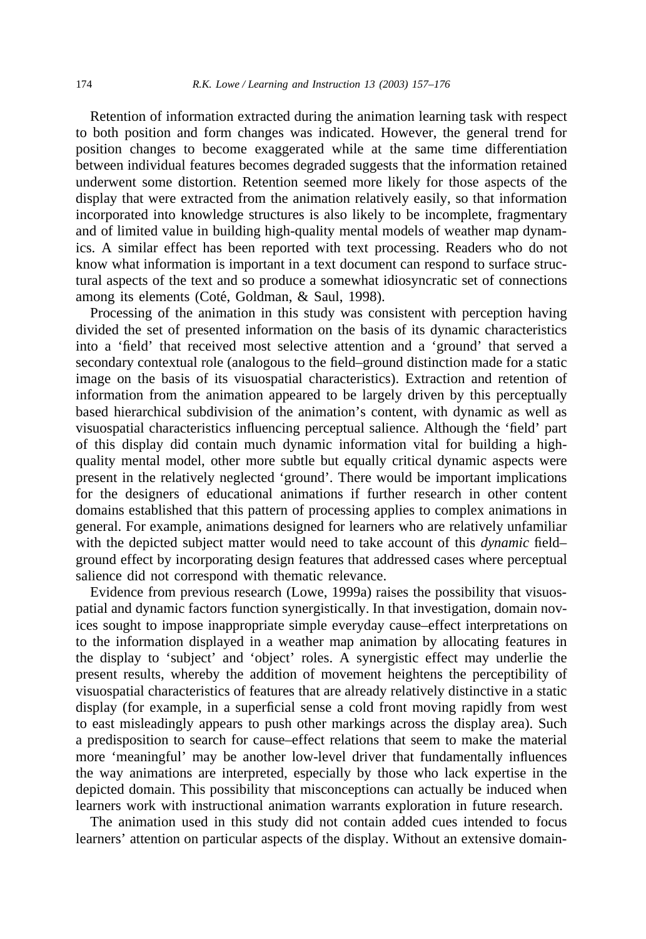Retention of information extracted during the animation learning task with respect to both position and form changes was indicated. However, the general trend for position changes to become exaggerated while at the same time differentiation between individual features becomes degraded suggests that the information retained underwent some distortion. Retention seemed more likely for those aspects of the display that were extracted from the animation relatively easily, so that information incorporated into knowledge structures is also likely to be incomplete, fragmentary and of limited value in building high-quality mental models of weather map dynamics. A similar effect has been reported with text processing. Readers who do not know what information is important in a text document can respond to surface structural aspects of the text and so produce a somewhat idiosyncratic set of connections among its elements (Coté, Goldman, & Saul, 1998).

Processing of the animation in this study was consistent with perception having divided the set of presented information on the basis of its dynamic characteristics into a 'field' that received most selective attention and a 'ground' that served a secondary contextual role (analogous to the field–ground distinction made for a static image on the basis of its visuospatial characteristics). Extraction and retention of information from the animation appeared to be largely driven by this perceptually based hierarchical subdivision of the animation's content, with dynamic as well as visuospatial characteristics influencing perceptual salience. Although the 'field' part of this display did contain much dynamic information vital for building a highquality mental model, other more subtle but equally critical dynamic aspects were present in the relatively neglected 'ground'. There would be important implications for the designers of educational animations if further research in other content domains established that this pattern of processing applies to complex animations in general. For example, animations designed for learners who are relatively unfamiliar with the depicted subject matter would need to take account of this *dynamic* field– ground effect by incorporating design features that addressed cases where perceptual salience did not correspond with thematic relevance.

Evidence from previous research (Lowe, 1999a) raises the possibility that visuospatial and dynamic factors function synergistically. In that investigation, domain novices sought to impose inappropriate simple everyday cause–effect interpretations on to the information displayed in a weather map animation by allocating features in the display to 'subject' and 'object' roles. A synergistic effect may underlie the present results, whereby the addition of movement heightens the perceptibility of visuospatial characteristics of features that are already relatively distinctive in a static display (for example, in a superficial sense a cold front moving rapidly from west to east misleadingly appears to push other markings across the display area). Such a predisposition to search for cause–effect relations that seem to make the material more 'meaningful' may be another low-level driver that fundamentally influences the way animations are interpreted, especially by those who lack expertise in the depicted domain. This possibility that misconceptions can actually be induced when learners work with instructional animation warrants exploration in future research.

The animation used in this study did not contain added cues intended to focus learners' attention on particular aspects of the display. Without an extensive domain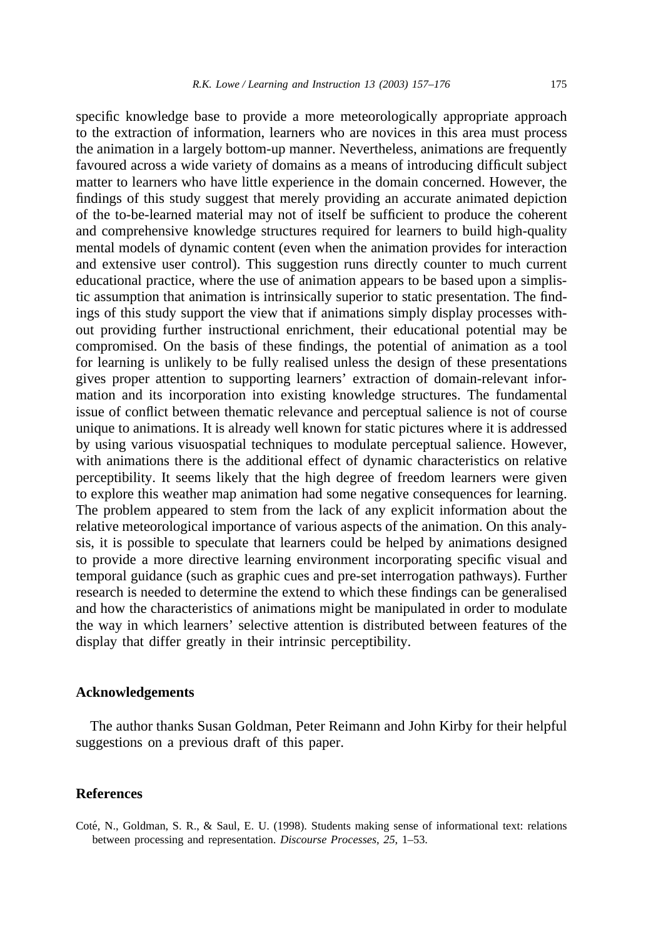specific knowledge base to provide a more meteorologically appropriate approach to the extraction of information, learners who are novices in this area must process the animation in a largely bottom-up manner. Nevertheless, animations are frequently favoured across a wide variety of domains as a means of introducing difficult subject matter to learners who have little experience in the domain concerned. However, the findings of this study suggest that merely providing an accurate animated depiction of the to-be-learned material may not of itself be sufficient to produce the coherent and comprehensive knowledge structures required for learners to build high-quality mental models of dynamic content (even when the animation provides for interaction and extensive user control). This suggestion runs directly counter to much current educational practice, where the use of animation appears to be based upon a simplistic assumption that animation is intrinsically superior to static presentation. The findings of this study support the view that if animations simply display processes without providing further instructional enrichment, their educational potential may be compromised. On the basis of these findings, the potential of animation as a tool for learning is unlikely to be fully realised unless the design of these presentations gives proper attention to supporting learners' extraction of domain-relevant information and its incorporation into existing knowledge structures. The fundamental issue of conflict between thematic relevance and perceptual salience is not of course unique to animations. It is already well known for static pictures where it is addressed by using various visuospatial techniques to modulate perceptual salience. However, with animations there is the additional effect of dynamic characteristics on relative perceptibility. It seems likely that the high degree of freedom learners were given to explore this weather map animation had some negative consequences for learning. The problem appeared to stem from the lack of any explicit information about the relative meteorological importance of various aspects of the animation. On this analysis, it is possible to speculate that learners could be helped by animations designed to provide a more directive learning environment incorporating specific visual and temporal guidance (such as graphic cues and pre-set interrogation pathways). Further research is needed to determine the extend to which these findings can be generalised and how the characteristics of animations might be manipulated in order to modulate the way in which learners' selective attention is distributed between features of the display that differ greatly in their intrinsic perceptibility.

#### **Acknowledgements**

The author thanks Susan Goldman, Peter Reimann and John Kirby for their helpful suggestions on a previous draft of this paper.

## **References**

Coté, N., Goldman, S. R., & Saul, E. U. (1998). Students making sense of informational text: relations between processing and representation. *Discourse Processes*, *25*, 1–53.